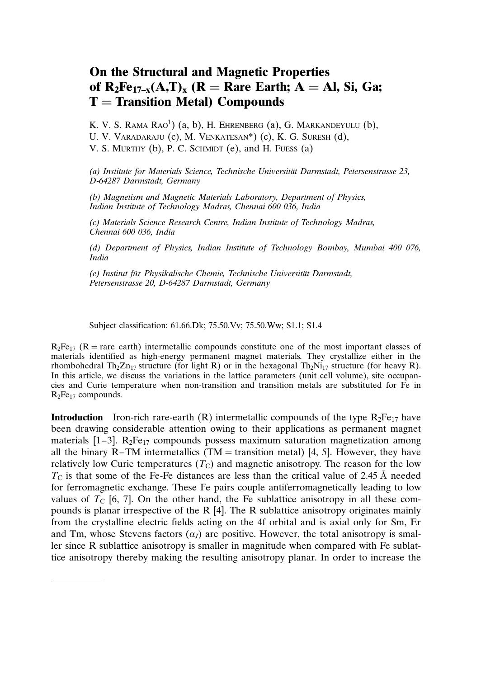## On the Structural and Magnetic Properties of  $R_2Fe_{17-x}(A,T)_x$  ( $R = R$ are Earth;  $A = A$ l, Si, Ga;  $T =$  Transition Metal) Compounds

K. V. S. RAMA  $Rao^1$ )  $(a, b)$ , H. Ehrenberg  $(a)$ , G. Markandeyulu  $(b)$ , U. V. Varadaraju (c), M. Venkatesan\*) (c), K. G. Suresh (d), V. S. MURTHY (b), P. C. SCHMIDT (e), and H. FUESS  $(a)$ 

(a) Institute for Materials Science, Technische Universität Darmstadt, Petersenstrasse 23, D-64287 Darmstadt, Germany

(b) Magnetism and Magnetic Materials Laboratory, Department of Physics, Indian Institute of Technology Madras, Chennai 600 036, India

(c) Materials Science Research Centre, Indian Institute of Technology Madras, Chennai 600 036, India

(d) Department of Physics, Indian Institute of Technology Bombay, Mumbai 400 076, India

(e) Institut für Physikalische Chemie, Technische Universität Darmstadt, Petersenstrasse 20, D-64287 Darmstadt, Germany

Subject classification:61.66.Dk; 75.50.Vv; 75.50.Ww; S1.1; S1.4

 $R_2Fe_{17}$  (R = rare earth) intermetallic compounds constitute one of the most important classes of materials identified as high-energy permanent magnet materials. They crystallize either in the rhombohedral Th<sub>2</sub>Zn<sub>17</sub> structure (for light R) or in the hexagonal Th<sub>2</sub>Ni<sub>17</sub> structure (for heavy R). In this article, we discuss the variations in the lattice parameters (unit cell volume), site occupancies and Curie temperature when non-transition and transition metals are substituted for Fe in  $R_2Fe_{17}$  compounds.

**Introduction** Iron-rich rare-earth (R) intermetallic compounds of the type  $R_2Fe_{17}$  have been drawing considerable attention owing to their applications as permanent magnet materials  $[1-3]$ . R<sub>2</sub>Fe<sub>17</sub> compounds possess maximum saturation magnetization among all the binary R–TM intermetallics (TM  $=$  transition metal) [4, 5]. However, they have relatively low Curie temperatures  $(T<sub>C</sub>)$  and magnetic anisotropy. The reason for the low  $T_{\rm C}$  is that some of the Fe-Fe distances are less than the critical value of 2.45 Å needed for ferromagnetic exchange. These Fe pairs couple antiferromagnetically leading to low values of  $T_c$  [6, 7]. On the other hand, the Fe sublattice anisotropy in all these compounds is planar irrespective of the R  $[4]$ . The R sublattice anisotropy originates mainly from the crystalline electric fields acting on the 4f orbital and is axial only for Sm, Er and Tm, whose Stevens factors  $(a<sub>I</sub>)$  are positive. However, the total anisotropy is smaller since R sublattice anisotropy is smaller in magnitude when compared with Fe sublattice anisotropy thereby making the resulting anisotropy planar. In order to increase the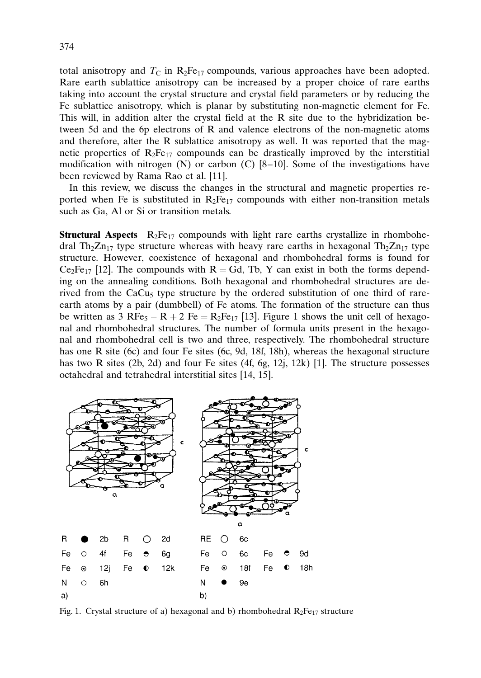total anisotropy and  $T_c$  in  $R_2Fe_{17}$  compounds, various approaches have been adopted. Rare earth sublattice anisotropy can be increased by a proper choice of rare earths taking into account the crystal structure and crystal field parameters or by reducing the Fe sublattice anisotropy, which is planar by substituting non-magnetic element for Fe. This will, in addition alter the crystal field at the R site due to the hybridization between 5d and the 6p electrons of R and valence electrons of the non-magnetic atoms and therefore, alter the R sublattice anisotropy as well. It was reported that the magnetic properties of  $R_2Fe_{17}$  compounds can be drastically improved by the interstitial modification with nitrogen (N) or carbon (C) [8–10]. Some of the investigations have been reviewed by Rama Rao et al. [11].

In this review, we discuss the changes in the structural and magnetic properties reported when Fe is substituted in  $R_2Fe_{17}$  compounds with either non-transition metals such as Ga, Al or Si or transition metals.

**Structural Aspects**  $R_2Fe_{17}$  compounds with light rare earths crystallize in rhombohedral Th<sub>2</sub>Zn<sub>17</sub> type structure whereas with heavy rare earths in hexagonal Th<sub>2</sub>Zn<sub>17</sub> type structure. However, coexistence of hexagonal and rhombohedral forms is found for  $Ce<sub>2</sub>Fe<sub>17</sub>$  [12]. The compounds with R = Gd, Tb, Y can exist in both the forms depending on the annealing conditions. Both hexagonal and rhombohedral structures are derived from the CaCu<sub>5</sub> type structure by the ordered substitution of one third of rareearth atoms by a pair (dumbbell) of Fe atoms. The formation of the structure can thus be written as  $3 \text{ RFe}_5 - \text{R} + 2 \text{ Fe} = \text{R}_2\text{Fe}_{17}$  [13]. Figure 1 shows the unit cell of hexagonal and rhombohedral structures. The number of formula units present in the hexagonal and rhombohedral cell is two and three, respectively. The rhombohedral structure has one R site (6c) and four Fe sites (6c, 9d, 18f, 18h), whereas the hexagonal structure has two R sites (2b, 2d) and four Fe sites (4f, 6g, 12j, 12k) [1]. The structure possesses octahedral and tetrahedral interstitial sites [14, 15].



Fig. 1. Crystal structure of a) hexagonal and b) rhombohedral  $R_2Fe_{17}$  structure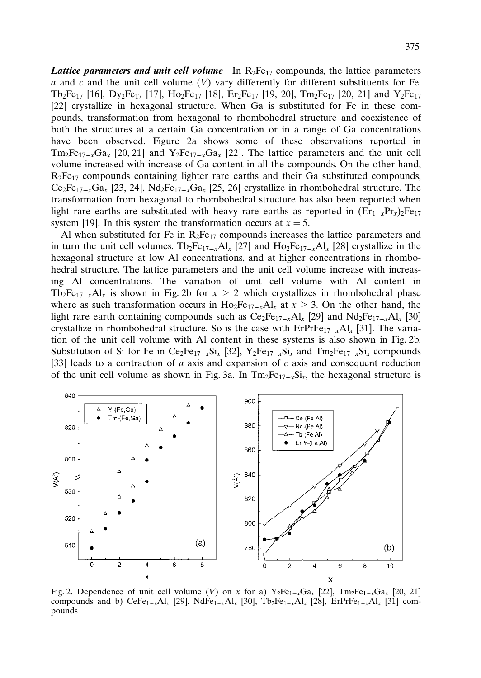**Lattice parameters and unit cell volume** In  $R_2Fe_{17}$  compounds, the lattice parameters  $a$  and  $c$  and the unit cell volume  $(V)$  vary differently for different substituents for Fe. Tb<sub>2</sub>Fe<sub>17</sub> [16], Dy<sub>2</sub>Fe<sub>17</sub> [17], Ho<sub>2</sub>Fe<sub>17</sub> [18], Er<sub>2</sub>Fe<sub>17</sub> [19, 20], Tm<sub>2</sub>Fe<sub>17</sub> [20, 21] and Y<sub>2</sub>Fe<sub>17</sub> [22] crystallize in hexagonal structure. When Ga is substituted for Fe in these compounds, transformation from hexagonal to rhombohedral structure and coexistence of both the structures at a certain Ga concentration or in a range of Ga concentrations have been observed. Figure 2a shows some of these observations reported in  $Tm_2Fe_{17-x}Ga_x$  [20, 21] and  $Y_2Fe_{17-x}Ga_x$  [22]. The lattice parameters and the unit cell volume increased with increase of Ga content in all the compounds. On the other hand,  $R_2Fe_{17}$  compounds containing lighter rare earths and their Ga substituted compounds,  $Ce_2Fe_{17-x}Ga_x$  [23, 24],  $Nd_2Fe_{17-x}Ga_x$  [25, 26] crystallize in rhombohedral structure. The transformation from hexagonal to rhombohedral structure has also been reported when light rare earths are substituted with heavy rare earths as reported in  $(Er_{1-x}pr_{x})_2Fe_{17}$ system [19]. In this system the transformation occurs at  $x = 5$ .

Al when substituted for Fe in  $R_2Fe_{17}$  compounds increases the lattice parameters and in turn the unit cell volumes. Tb<sub>2</sub>Fe<sub>17–x</sub>Al<sub>x</sub> [27] and Ho<sub>2</sub>Fe<sub>17–x</sub>Al<sub>x</sub> [28] crystallize in the hexagonal structure at low Al concentrations, and at higher concentrations in rhombohedral structure. The lattice parameters and the unit cell volume increase with increasing Al concentrations. The variation of unit cell volume with Al content in Tb<sub>2</sub>Fe<sub>17-x</sub>Al<sub>x</sub> is shown in Fig. 2b for  $x \ge 2$  which crystallizes in rhombohedral phase where as such transformation occurs in Ho<sub>2</sub>Fe<sub>17–x</sub>Al<sub>x</sub> at  $x \ge 3$ . On the other hand, the light rare earth containing compounds such as  $Ce_2Fe_{17-x}Al_x$  [29] and  $Nd_2Fe_{17-x}Al_x$  [30] crystallize in rhombohedral structure. So is the case with  $E\text{PrFe}_{17-x}\text{Al}_x$  [31]. The variation of the unit cell volume with Al content in these systems is also shown in Fig. 2b. Substitution of Si for Fe in Ce<sub>2</sub>Fe<sub>17–x</sub>Si<sub>x</sub> [32], Y<sub>2</sub>Fe<sub>17–x</sub>Si<sub>x</sub> and Tm<sub>2</sub>Fe<sub>17–x</sub>Si<sub>x</sub> compounds [33] leads to a contraction of a axis and expansion of c axis and consequent reduction of the unit cell volume as shown in Fig. 3a. In  $Tm_2Fe_{17-x}Si_x$ , the hexagonal structure is



Fig. 2. Dependence of unit cell volume (V) on x for a)  $Y_2Fe_{1-x}Ga_x$  [22],  $Tm_2Fe_{1-x}Ga_x$  [20, 21] compounds and b) CeFe<sub>1–x</sub>Al<sub>x</sub> [29], NdFe<sub>1–x</sub>Al<sub>x</sub> [30], Tb<sub>2</sub>Fe<sub>1–x</sub>Al<sub>x</sub> [28], ErPrFe<sub>1–x</sub>Al<sub>x</sub> [31] compounds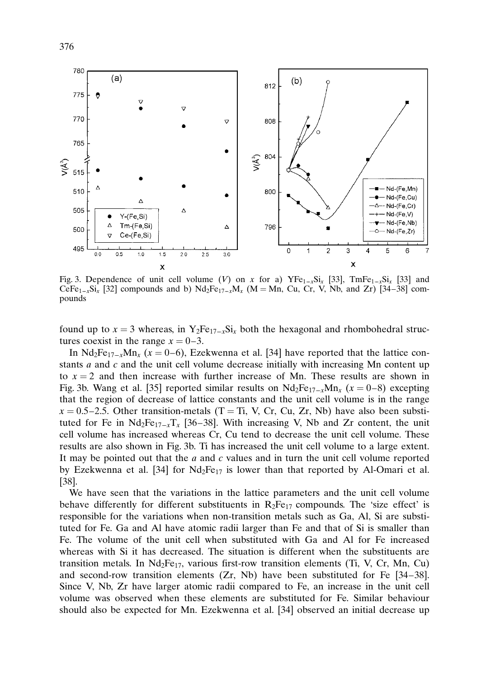

Fig. 3. Dependence of unit cell volume (V) on x for a)  $YFe_{1-x}Si_x$  [33],  $TmFe_{1-x}Si_x$  [33] and CeFe<sub>1–x</sub>Si<sub>x</sub> [32] compounds and b) Nd<sub>2</sub>Fe<sub>17–x</sub>M<sub>x</sub> (M = Mn, Cu, Cr, V, Nb, and Zr) [34–38] compounds

found up to  $x = 3$  whereas, in Y<sub>2</sub>Fe<sub>17–x</sub>Si<sub>x</sub> both the hexagonal and rhombohedral structures coexist in the range  $x = 0-3$ .

In Nd<sub>2</sub>Fe<sub>17–x</sub>Mn<sub>x</sub> (x = 0–6), Ezekwenna et al. [34] have reported that the lattice constants  $a$  and  $c$  and the unit cell volume decrease initially with increasing Mn content up to  $x = 2$  and then increase with further increase of Mn. These results are shown in Fig. 3b. Wang et al. [35] reported similar results on  $Nd_2Fe_{17-x}Mn_x$  ( $x = 0-8$ ) excepting that the region of decrease of lattice constants and the unit cell volume is in the range  $x = 0.5-2.5$ . Other transition-metals (T = Ti, V, Cr, Cu, Zr, Nb) have also been substituted for Fe in  $Nd_2Fe_{17-x}T_x$  [36–38]. With increasing V, Nb and Zr content, the unit cell volume has increased whereas Cr, Cu tend to decrease the unit cell volume. These results are also shown in Fig. 3b. Ti has increased the unit cell volume to a large extent. It may be pointed out that the  $a$  and  $c$  values and in turn the unit cell volume reported by Ezekwenna et al. [34] for  $Nd_2Fe_{17}$  is lower than that reported by Al-Omari et al. [38].

We have seen that the variations in the lattice parameters and the unit cell volume behave differently for different substituents in  $R_2Fe_{17}$  compounds. The 'size effect' is responsible for the variations when non-transition metals such as Ga, Al, Si are substituted for Fe. Ga and Al have atomic radii larger than Fe and that of Si is smaller than Fe. The volume of the unit cell when substituted with Ga and Al for Fe increased whereas with Si it has decreased. The situation is different when the substituents are transition metals. In  $Nd_2Fe_{17}$ , various first-row transition elements (Ti, V, Cr, Mn, Cu) and second-row transition elements (Zr, Nb) have been substituted for Fe [34–38]. Since V, Nb, Zr have larger atomic radii compared to Fe, an increase in the unit cell volume was observed when these elements are substituted for Fe. Similar behaviour should also be expected for Mn. Ezekwenna et al. [34] observed an initial decrease up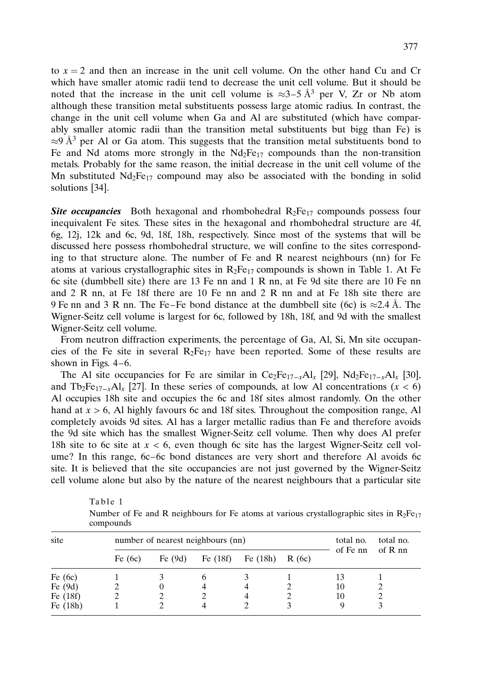to  $x = 2$  and then an increase in the unit cell volume. On the other hand Cu and Cr which have smaller atomic radii tend to decrease the unit cell volume. But it should be noted that the increase in the unit cell volume is  $\approx 3-5 \text{ Å}^3$  per V, Zr or Nb atom although these transition metal substituents possess large atomic radius. In contrast, the change in the unit cell volume when Ga and Al are substituted (which have comparably smaller atomic radii than the transition metal substituents but bigg than Fe) is  $\approx$ 9 Å<sup>3</sup> per Al or Ga atom. This suggests that the transition metal substituents bond to Fe and Nd atoms more strongly in the  $Nd_2Fe_{17}$  compounds than the non-transition metals. Probably for the same reason, the initial decrease in the unit cell volume of the Mn substituted  $Nd_2Fe_{17}$  compound may also be associated with the bonding in solid solutions [34].

**Site occupancies** Both hexagonal and rhombohedral  $R_2Fe_{17}$  compounds possess four inequivalent Fe sites. These sites in the hexagonal and rhombohedral structure are 4f, 6g, 12j, 12k and 6c, 9d, 18f, 18h, respectively. Since most of the systems that will be discussed here possess rhombohedral structure, we will confine to the sites corresponding to that structure alone. The number of Fe and R nearest neighbours (nn) for Fe atoms at various crystallographic sites in  $R_2Fe_{17}$  compounds is shown in Table 1. At Fe 6c site (dumbbell site) there are 13 Fe nn and 1 R nn, at Fe 9d site there are 10 Fe nn and 2 R nn, at Fe 18f there are 10 Fe nn and 2 R nn and at Fe 18h site there are 9 Fe nn and 3 R nn. The Fe–Fe bond distance at the dumbbell site (6c) is  $\approx$ 2.4 Å. The Wigner-Seitz cell volume is largest for 6c, followed by 18h, 18f, and 9d with the smallest Wigner-Seitz cell volume.

From neutron diffraction experiments, the percentage of Ga, Al, Si, Mn site occupancies of the Fe site in several  $R_2Fe_{17}$  have been reported. Some of these results are shown in Figs. 4–6.

The Al site occupancies for Fe are similar in  $Ce_2Fe_{17-x}Al_x$  [29],  $Nd_2Fe_{17-x}Al_x$  [30], and  $\text{Top}_{2}Fe_{17-x}\text{Al}_{x}$  [27]. In these series of compounds, at low Al concentrations (x < 6) Al occupies 18h site and occupies the 6c and 18f sites almost randomly. On the other hand at  $x > 6$ , Al highly favours 6c and 18f sites. Throughout the composition range, Al completely avoids 9d sites. Al has a larger metallic radius than Fe and therefore avoids the 9d site which has the smallest Wigner-Seitz cell volume. Then why does Al prefer 18h site to 6c site at  $x < 6$ , even though 6c site has the largest Wigner-Seitz cell volume? In this range, 6c–6c bond distances are very short and therefore Al avoids 6c site. It is believed that the site occupancies are not just governed by the Wigner-Seitz cell volume alone but also by the nature of the nearest neighbours that a particular site

| $\mathbf{v}$ |                                   |           |            |            |       |                       |           |
|--------------|-----------------------------------|-----------|------------|------------|-------|-----------------------|-----------|
| site         | number of nearest neighbours (nn) |           |            |            |       | total no.<br>of Fe nn | total no. |
|              | Fe $(6c)$                         | Fe $(9d)$ | Fe $(18f)$ | Fe $(18h)$ | R(6c) |                       | of $R$ nn |
| Fe $(6c)$    |                                   |           |            |            |       | 13                    |           |
| Fe $(9d)$    |                                   | $_{0}$    |            |            |       | 10                    |           |
| Fe $(18f)$   |                                   |           |            | 4          |       | 10                    |           |
| Fe $(18h)$   |                                   |           |            |            |       |                       |           |

Table 1

Number of Fe and R neighbours for Fe atoms at various crystallographic sites in  $R_2Fe_{17}$ compounds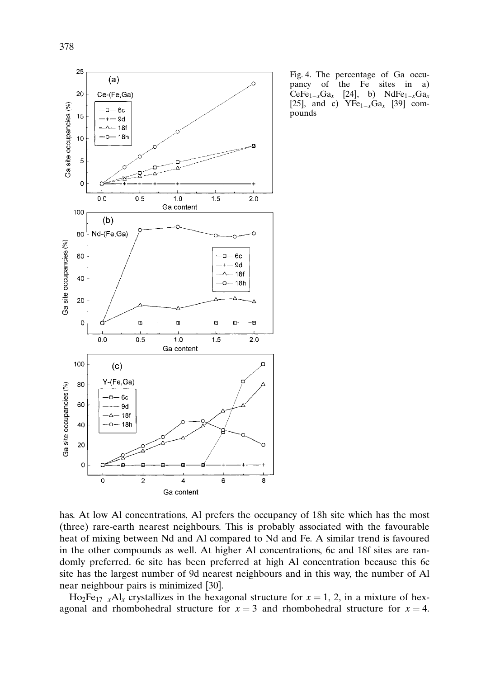

Fig. 4. The percentage of Ga occupancy of the Fe sites in a)  $CeFe_{1-x}Ga_x$  [24], b) NdFe<sub>1-x</sub>Ga<sub>x</sub> [25], and c)  $YFe_{1-x}Ga_x$  [39] compounds

has. At low Al concentrations, Al prefers the occupancy of 18h site which has the most (three) rare-earth nearest neighbours. This is probably associated with the favourable heat of mixing between Nd and Al compared to Nd and Fe. A similar trend is favoured in the other compounds as well. At higher Al concentrations, 6c and 18f sites are randomly preferred. 6c site has been preferred at high Al concentration because this 6c site has the largest number of 9d nearest neighbours and in this way, the number of Al near neighbour pairs is minimized [30].

 $Ho_2Fe_{17-x}Al_x$  crystallizes in the hexagonal structure for  $x = 1, 2$ , in a mixture of hexagonal and rhombohedral structure for  $x = 3$  and rhombohedral structure for  $x = 4$ .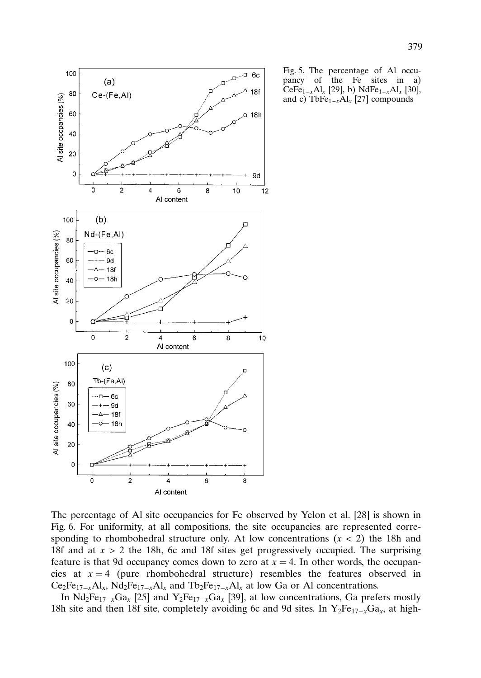

Fig. 5. The percentage of Al occupancy of the Fe sites in a) CeFe<sub>1–x</sub>Al<sub>x</sub> [29], b) NdFe<sub>1–x</sub>Al<sub>x</sub> [30], and c) TbFe $_{1-x}$ Al<sub>x</sub> [27] compounds

The percentage of Al site occupancies for Fe observed by Yelon et al. [28] is shown in Fig. 6. For uniformity, at all compositions, the site occupancies are represented corresponding to rhombohedral structure only. At low concentrations  $(x < 2)$  the 18h and 18f and at  $x > 2$  the 18h, 6c and 18f sites get progressively occupied. The surprising feature is that 9d occupancy comes down to zero at  $x = 4$ . In other words, the occupancies at  $x = 4$  (pure rhombohedral structure) resembles the features observed in  $Ce_2Fe_{17-x}Al_x$ ,  $Nd_2Fe_{17-x}Al_x$  and  $Tb_2Fe_{17-x}Al_x$  at low Ga or Al concentrations.

In Nd<sub>2</sub>Fe<sub>17–x</sub>Ga<sub>x</sub> [25] and Y<sub>2</sub>Fe<sub>17–x</sub>Ga<sub>x</sub> [39], at low concentrations, Ga prefers mostly 18h site and then 18f site, completely avoiding 6c and 9d sites. In  $Y_2Fe_{17-x}Ga_x$ , at high-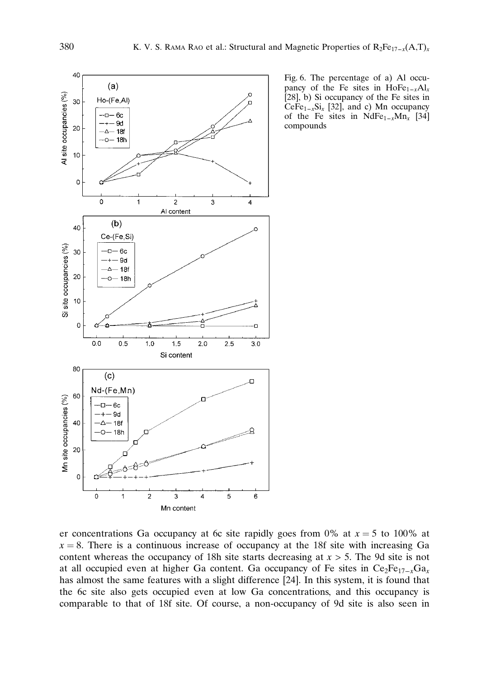

Fig. 6. The percentage of a) Al occupancy of the Fe sites in  $H_0Fe_{1-x}Al_x$ [28], b) Si occupancy of the Fe sites in CeFe<sub>1–x</sub>Si<sub>x</sub> [32], and c) Mn occupancy of the Fe sites in NdFe<sub>1–x</sub>Mn<sub>x</sub> [34] compounds

er concentrations Ga occupancy at 6c site rapidly goes from 0% at  $x = 5$  to 100% at  $x = 8$ . There is a continuous increase of occupancy at the 18f site with increasing Ga content whereas the occupancy of 18h site starts decreasing at  $x > 5$ . The 9d site is not at all occupied even at higher Ga content. Ga occupancy of Fe sites in  $Ce_2Fe_{17-x}Ga_x$ has almost the same features with a slight difference [24]. In this system, it is found that the 6c site also gets occupied even at low Ga concentrations, and this occupancy is comparable to that of 18f site. Of course, a non-occupancy of 9d site is also seen in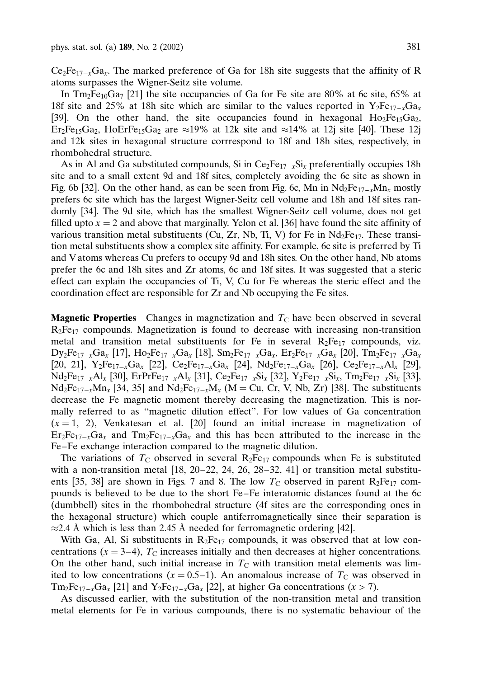$Ce<sub>2</sub>Fe<sub>17-x</sub>Ga<sub>x</sub>$ . The marked preference of Ga for 18h site suggests that the affinity of R atoms surpasses the Wigner-Seitz site volume.

In  $\text{Im}_{2}$ Fe<sub>10</sub>Ga<sub>7</sub> [21] the site occupancies of Ga for Fe site are 80% at 6c site, 65% at 18f site and 25% at 18h site which are similar to the values reported in  $Y_2Fe_{17-x}Ga_x$ [39]. On the other hand, the site occupancies found in hexagonal  $Ho_2Fe_1SGa_2$ , Er<sub>2</sub>Fe<sub>15</sub>Ga<sub>2</sub>, HoErFe<sub>15</sub>Ga<sub>2</sub> are  $\approx$ 19% at 12k site and  $\approx$ 14% at 12j site [40]. These 12j and 12k sites in hexagonal structure corrrespond to 18f and 18h sites, respectively, in rhombohedral structure.

As in Al and Ga substituted compounds, Si in  $Ce_2Fe_{17-x}Si_x$  preferentially occupies 18h site and to a small extent 9d and 18f sites, completely avoiding the 6c site as shown in Fig. 6b [32]. On the other hand, as can be seen from Fig. 6c, Mn in  $Nd_2Fe_{17-x}Mn_x$  mostly prefers 6c site which has the largest Wigner-Seitz cell volume and 18h and 18f sites randomly [34]. The 9d site, which has the smallest Wigner-Seitz cell volume, does not get filled upto  $x = 2$  and above that marginally. Yelon et al. [36] have found the site affinity of various transition metal substituents (Cu, Zr, Nb, Ti, V) for Fe in  $Nd_2Fe_{17}$ . These transition metal substituents show a complex site affinity. For example, 6c site is preferred by Ti and V atoms whereas Cu prefers to occupy 9d and 18h sites. On the other hand, Nb atoms prefer the 6c and 18h sites and Zr atoms, 6c and 18f sites. It was suggested that a steric effect can explain the occupancies of Ti, V, Cu for Fe whereas the steric effect and the coordination effect are responsible for Zr and Nb occupying the Fe sites.

**Magnetic Properties** Changes in magnetization and  $T<sub>C</sub>$  have been observed in several  $R_2Fe_{17}$  compounds. Magnetization is found to decrease with increasing non-transition metal and transition metal substituents for Fe in several  $R_2Fe_{17}$  compounds, viz.  $D_{V_2}Fe_{17-x}Ga_{x}$  [17],  $Ho_{2}Fe_{17-x}Ga_{x}$  [18],  $Sm_{2}Fe_{17-x}Ga_{x}$ ,  $Er_{2}Fe_{17-x}Ga_{x}$  [20],  $Tm_{2}Fe_{17-x}Ga_{x}$ [20, 21],  $Y_2Fe_{17-x}Ga_x$  [22],  $Ce_2Fe_{17-x}Ga_x$  [24],  $Nd_2Fe_{17-x}Ga_x$  [26],  $Ce_2Fe_{17-x}Al_x$  [29],  $Nd_2Fe_{17-x}Al_x$  [30],  $ErPrFe_{17-x}Al_x$  [31],  $Ce_2Fe_{17-x}Si_x$  [32],  $Y_2Fe_{17-x}Si_x$ ,  $Tm_2Fe_{17-x}Si_x$  [33],  $Nd_2Fe_{17-x}Mn_x$  [34, 35] and  $Nd_2Fe_{17-x}M_x$  (M = Cu, Cr, V, Nb, Zr) [38]. The substituents decrease the Fe magnetic moment thereby decreasing the magnetization. This is normally referred to as ''magnetic dilution effect". For low values of Ga concentration  $(x = 1, 2)$ , Venkatesan et al. [20] found an initial increase in magnetization of  $Er_2Fe_{17-x}Ga_x$  and  $Tm_2Fe_{17-x}Ga_x$  and this has been attributed to the increase in the Fe–Fe exchange interaction compared to the magnetic dilution.

The variations of  $T_c$  observed in several  $R_2Fe_{17}$  compounds when Fe is substituted with a non-transition metal  $[18, 20-22, 24, 26, 28-32, 41]$  or transition metal substituents [35, 38] are shown in Figs. 7 and 8. The low  $T_{\rm C}$  observed in parent R<sub>2</sub>Fe<sub>17</sub> compounds is believed to be due to the short Fe–Fe interatomic distances found at the 6c (dumbbell) sites in the rhombohedral structure (4f sites are the corresponding ones in the hexagonal structure) which couple antiferromagnetically since their separation is  $\approx$ 2.4 Å which is less than 2.45 Å needed for ferromagnetic ordering [42].

With Ga, Al, Si substituents in  $R_2Fe_{17}$  compounds, it was observed that at low concentrations  $(x = 3-4)$ ,  $T_c$  increases initially and then decreases at higher concentrations. On the other hand, such initial increase in  $T<sub>C</sub>$  with transition metal elements was limited to low concentrations ( $x = 0.5-1$ ). An anomalous increase of  $T_c$  was observed in  $\text{Im}_2\text{Fe}_{17-x}\text{Ga}_x$  [21] and  $\text{Y}_2\text{Fe}_{17-x}\text{Ga}_x$  [22], at higher Ga concentrations (x > 7).

As discussed earlier, with the substitution of the non-transition metal and transition metal elements for Fe in various compounds, there is no systematic behaviour of the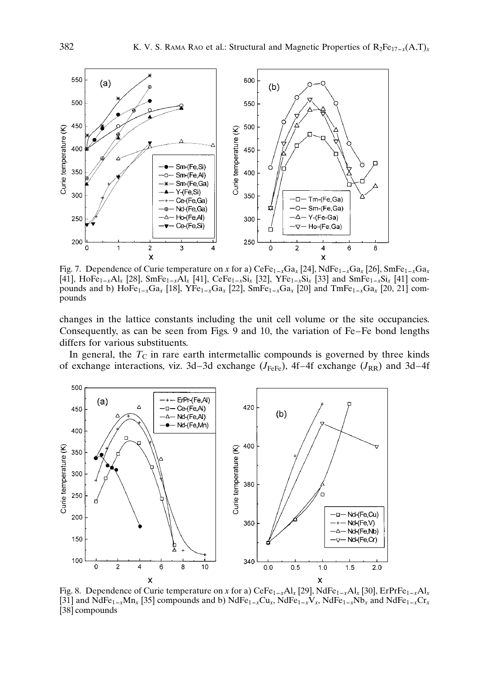

Fig. 7. Dependence of Curie temperature on x for a)  $Cef_{1-x}Ga_x$  [24],  $NdFe_{1-x}Ga_x$  [26],  $SmFe_{1-x}Ga_x$ [41], HoFe<sub>1–x</sub>Al<sub>x</sub> [28], SmFe<sub>1–x</sub>Al<sub>x</sub> [41], CeFe<sub>1–x</sub>Si<sub>x</sub> [32], YFe<sub>1–x</sub>Si<sub>x</sub> [33] and SmFe<sub>1–x</sub>Si<sub>x</sub> [41] compounds and b)  $\text{HoFe}_{1-x}\text{Ga}_x$  [18],  $\text{YFe}_{1-x}\text{Ga}_x$  [22],  $\text{SmFe}_{1-x}\text{Ga}_x$  [20] and  $\text{TomFe}_{1-x}\text{Ga}_x$  [20, 21] compounds

changes in the lattice constants including the unit cell volume or the site occupancies. Consequently, as can be seen from Figs. 9 and 10, the variation of Fe–Fe bond lengths differs for various substituents.

In general, the  $T_{\rm C}$  in rare earth intermetallic compounds is governed by three kinds of exchange interactions, viz. 3d–3d exchange  $(J_{\text{FeFe}})$ , 4f–4f exchange  $(J_{\text{RR}})$  and 3d–4f



Fig. 8. Dependence of Curie temperature on x for a)  $CeFe_{1-x}Al_x$  [29], NdFe<sub>1–x</sub>Al<sub>x</sub> [30], ErPrFe<sub>1–x</sub>Al<sub>x</sub> [31] and  $\text{NdFe}_{1-x}\text{Mn}_x$  [35] compounds and b)  $\text{NdFe}_{1-x}\text{Cu}_x$ ,  $\text{NdFe}_{1-x}\text{V}_x$ ,  $\text{NdFe}_{1-x}\text{Nb}_x$  and  $\text{NdFe}_{1-x}\text{Cr}_x$ [38] compounds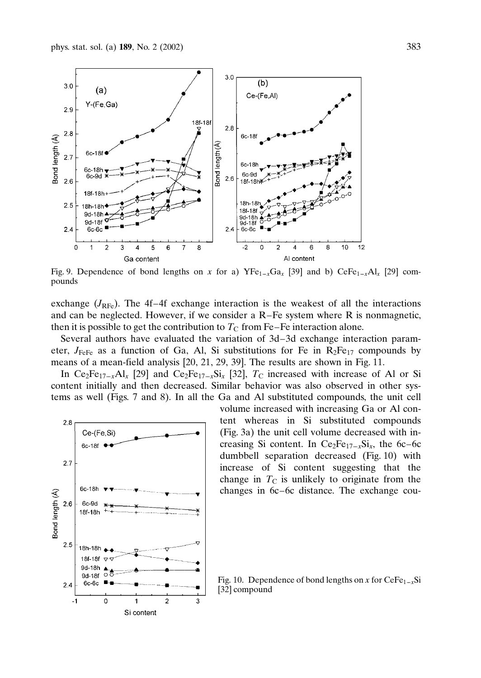

Fig. 9. Dependence of bond lengths on x for a)  $YFe_{1-x}Ga_x$  [39] and b) CeFe<sub>1–x</sub>Al<sub>x</sub> [29] compounds

exchange  $(J_{\text{RFe}})$ . The 4f–4f exchange interaction is the weakest of all the interactions and can be neglected. However, if we consider a R–Fe system where R is nonmagnetic, then it is possible to get the contribution to  $T_{\rm C}$  from Fe–Fe interaction alone.

Several authors have evaluated the variation of 3d–3d exchange interaction parameter,  $J_{\text{FeFe}}$  as a function of Ga, Al, Si substitutions for Fe in  $R_2Fe_{17}$  compounds by means of a mean-field analysis [20, 21, 29, 39]. The results are shown in Fig. 11.

In Ce<sub>2</sub>Fe<sub>17–x</sub>Al<sub>x</sub> [29] and Ce<sub>2</sub>Fe<sub>17–x</sub>Si<sub>x</sub> [32], T<sub>C</sub> increased with increase of Al or Si content initially and then decreased. Similar behavior was also observed in other systems as well (Figs. 7 and 8). In all the Ga and Al substituted compounds, the unit cell



volume increased with increasing Ga or Al content whereas in Si substituted compounds (Fig. 3a) the unit cell volume decreased with increasing Si content. In  $Ce<sub>2</sub>Fe<sub>17-x</sub>Si<sub>x</sub>$ , the 6c–6c dumbbell separation decreased (Fig. 10) with increase of Si content suggesting that the change in  $T_{\rm C}$  is unlikely to originate from the changes in 6c–6c distance. The exchange cou-

Fig. 10. Dependence of bond lengths on x for  $CeFe_{1-x}Si$ [32] compound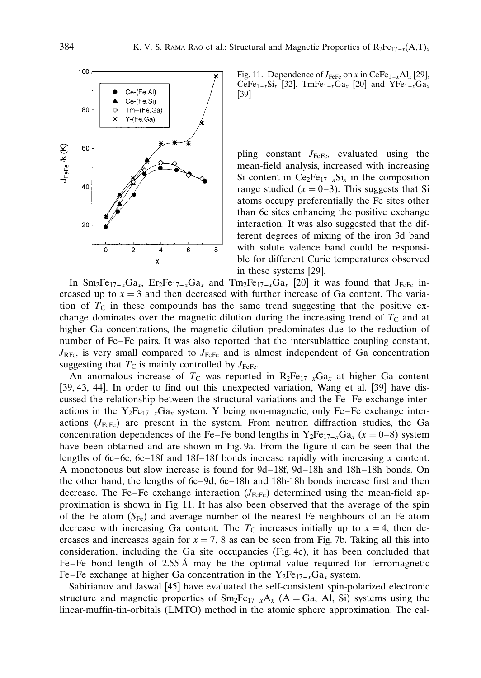

Fig. 11. Dependence of  $J_{\text{FeFe}}$  on x in CeFe<sub>1–x</sub>Al<sub>x</sub> [29], CeFe<sub>1–x</sub>Si<sub>x</sub> [32], TmFe<sub>1–x</sub>Ga<sub>x</sub> [20] and YFe<sub>1–x</sub>Ga<sub>x</sub> [39]

pling constant  $J_{\text{FeFe}}$ , evaluated using the mean-field analysis, increased with increasing Si content in  $Ce_2Fe_{17-x}Si_x$  in the composition range studied  $(x = 0-3)$ . This suggests that Si atoms occupy preferentially the Fe sites other than 6c sites enhancing the positive exchange interaction. It was also suggested that the different degrees of mixing of the iron 3d band with solute valence band could be responsible for different Curie temperatures observed in these systems [29].

In  $\text{Sm}_2\text{Fe}_{17-x}\text{Ga}_x$ ,  $\text{Er}_2\text{Fe}_{17-x}\text{Ga}_x$  and  $\text{Sm}_2\text{Fe}_{17-x}\text{Ga}_x$  [20] it was found that  $\text{J}_{\text{FeFe}}$  increased up to  $x = 3$  and then decreased with further increase of Ga content. The variation of  $T_{\rm C}$  in these compounds has the same trend suggesting that the positive exchange dominates over the magnetic dilution during the increasing trend of  $T_c$  and at higher Ga concentrations, the magnetic dilution predominates due to the reduction of number of Fe–Fe pairs. It was also reported that the intersublattice coupling constant,  $J_{\text{RFe}}$ , is very small compared to  $J_{\text{FeFe}}$  and is almost independent of Ga concentration suggesting that  $T_{\rm C}$  is mainly controlled by  $J_{\rm FeFe}$ .

An anomalous increase of  $T_{\rm C}$  was reported in  $R_2Fe_{17-x}Ga_x$  at higher Ga content [39, 43, 44]. In order to find out this unexpected variation, Wang et al. [39] have discussed the relationship between the structural variations and the Fe–Fe exchange interactions in the Y<sub>2</sub>Fe<sub>17–x</sub>Ga<sub>x</sub> system. Y being non-magnetic, only Fe–Fe exchange interactions  $(J_{\text{FeFe}})$  are present in the system. From neutron diffraction studies, the Ga concentration dependences of the Fe–Fe bond lengths in  $Y_2Fe_{17-x}Ga_x$  ( $x = 0-8$ ) system have been obtained and are shown in Fig. 9a. From the figure it can be seen that the lengths of 6c–6c, 6c–18f and 18f–18f bonds increase rapidly with increasing x content. A monotonous but slow increase is found for 9d–18f, 9d–18h and 18h–18h bonds. On the other hand, the lengths of 6c–9d, 6c–18h and 18h-18h bonds increase first and then decrease. The Fe–Fe exchange interaction  $(J_{\text{FeFe}})$  determined using the mean-field approximation is shown in Fig. 11. It has also been observed that the average of the spin of the Fe atom  $(S_{Fe})$  and average number of the nearest Fe neighbours of an Fe atom decrease with increasing Ga content. The  $T_{\rm C}$  increases initially up to  $x = 4$ , then decreases and increases again for  $x = 7$ , 8 as can be seen from Fig. 7b. Taking all this into consideration, including the Ga site occupancies (Fig. 4c), it has been concluded that Fe–Fe bond length of 2.55 A may be the optimal value required for ferromagnetic Fe–Fe exchange at higher Ga concentration in the  $Y_2Fe_{17-x}Ga_x$  system.

Sabirianov and Jaswal [45] have evaluated the self-consistent spin-polarized electronic structure and magnetic properties of  $Sm_2Fe_{17-x}A_x$  (A = Ga, Al, Si) systems using the linear-muffin-tin-orbitals (LMTO) method in the atomic sphere approximation. The cal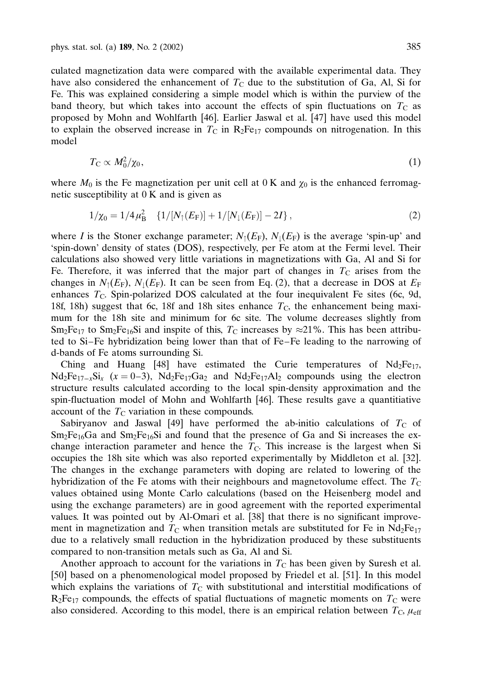culated magnetization data were compared with the available experimental data. They have also considered the enhancement of  $T<sub>C</sub>$  due to the substitution of Ga, Al, Si for Fe. This was explained considering a simple model which is within the purview of the band theory, but which takes into account the effects of spin fluctuations on  $T_c$  as proposed by Mohn and Wohlfarth [46]. Earlier Jaswal et al. [47] have used this model to explain the observed increase in  $T_c$  in  $R_2Fe_{17}$  compounds on nitrogenation. In this model

$$
T_{\rm C} \propto M_0^2/\chi_0,\tag{1}
$$

where  $M_0$  is the Fe magnetization per unit cell at 0 K and  $\chi_0$  is the enhanced ferromagnetic susceptibility at 0 K and is given as

$$
1/\chi_0 = 1/4\,\mu_B^2 \quad \{1/[N_\uparrow(E_F)] + 1/[N_\downarrow(E_F)] - 2I\} \,, \tag{2}
$$

where I is the Stoner exchange parameter;  $N_1(E_F)$ ,  $N_1(E_F)$  is the average 'spin-up' and 'spin-down' density of states (DOS), respectively, per Fe atom at the Fermi level. Their calculations also showed very little variations in magnetizations with Ga, Al and Si for Fe. Therefore, it was inferred that the major part of changes in  $T_c$  arises from the changes in  $N_1(E_F)$ ,  $N_1(E_F)$ . It can be seen from Eq. (2), that a decrease in DOS at  $E_F$ enhances  $T_{\rm C}$ . Spin-polarized DOS calculated at the four inequivalent Fe sites (6c, 9d, 18f, 18h) suggest that 6c, 18f and 18h sites enhance  $T_c$ , the enhancement being maximum for the 18h site and minimum for 6c site. The volume decreases slightly from  $Sm_2Fe_{17}$  to  $Sm_2Fe_{16}Si$  and inspite of this,  $T_c$  increases by  $\approx$  21%. This has been attributed to Si–Fe hybridization being lower than that of Fe–Fe leading to the narrowing of d-bands of Fe atoms surrounding Si.

Ching and Huang [48] have estimated the Curie temperatures of  $Nd_2Fe_{17}$ ,  $Nd_2Fe_{17-x}Si_x$   $(x = 0-3)$ ,  $Nd_2Fe_{17}Ga_2$  and  $Nd_2Fe_{17}Al_2$  compounds using the electron structure results calculated according to the local spin-density approximation and the spin-fluctuation model of Mohn and Wohlfarth [46]. These results gave a quantitiative account of the  $T_{\rm C}$  variation in these compounds.

Sabiryanov and Jaswal [49] have performed the ab-initio calculations of  $T_c$  of  $Sm_2Fe_{16}Ga$  and  $Sm_2Fe_{16}Si$  and found that the presence of Ga and Si increases the exchange interaction parameter and hence the  $T<sub>C</sub>$ . This increase is the largest when Si occupies the 18h site which was also reported experimentally by Middleton et al. [32]. The changes in the exchange parameters with doping are related to lowering of the hybridization of the Fe atoms with their neighbours and magnetovolume effect. The  $T_{\text{C}}$ values obtained using Monte Carlo calculations (based on the Heisenberg model and using the exchange parameters) are in good agreement with the reported experimental values. It was pointed out by Al-Omari et al. [38] that there is no significant improvement in magnetization and  $T_{\rm C}$  when transition metals are substituted for Fe in Nd<sub>2</sub>Fe<sub>17</sub> due to a relatively small reduction in the hybridization produced by these substituents compared to non-transition metals such as Ga, Al and Si.

Another approach to account for the variations in  $T<sub>C</sub>$  has been given by Suresh et al. [50] based on a phenomenological model proposed by Friedel et al. [51]. In this model which explains the variations of  $T_{\rm C}$  with substitutional and interstitial modifications of  $R_2Fe_{17}$  compounds, the effects of spatial fluctuations of magnetic moments on  $T_c$  were also considered. According to this model, there is an empirical relation between  $T_{\rm C}$ ,  $\mu_{\rm eff}$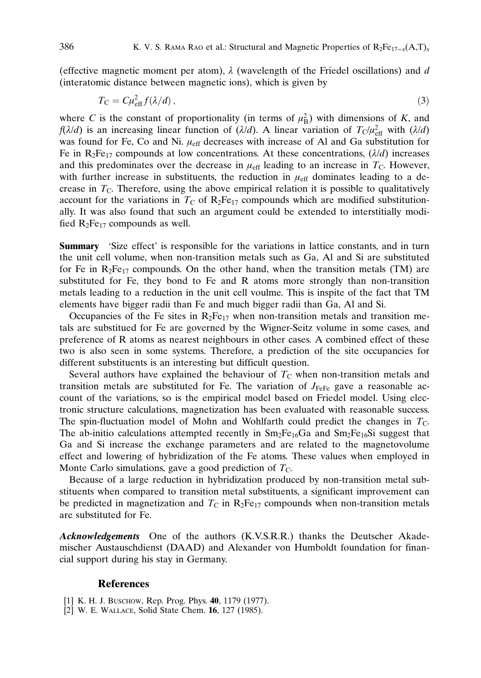(effective magnetic moment per atom),  $\lambda$  (wavelength of the Friedel oscillations) and d (interatomic distance between magnetic ions), which is given by

$$
T_{\rm C} = C\mu_{\rm eff}^2 f(\lambda/d) \,,\tag{3}
$$

where C is the constant of proportionality (in terms of  $\mu_B^2$ ) with dimensions of K, and  $f(\lambda/d)$  is an increasing linear function of  $(\lambda/d)$ . A linear variation of  $T_c/\mu_{\rm eff}^2$  with  $(\lambda/d)$ was found for Fe, Co and Ni.  $\mu_{\text{eff}}$  decreases with increase of Al and Ga substitution for Fe in R<sub>2</sub>Fe<sub>17</sub> compounds at low concentrations. At these concentrations,  $(\lambda/d)$  increases and this predominates over the decrease in  $\mu_{\text{eff}}$  leading to an increase in  $T_{\text{C}}$ . However, with further increase in substituents, the reduction in  $\mu_{\text{eff}}$  dominates leading to a decrease in  $T_c$ . Therefore, using the above empirical relation it is possible to qualitatively account for the variations in  $T_{\rm C}$  of R<sub>2</sub>Fe<sub>17</sub> compounds which are modified substitutionally. It was also found that such an argument could be extended to interstitially modified  $R_2Fe_{17}$  compounds as well.

Summary 'Size effect' is responsible for the variations in lattice constants, and in turn the unit cell volume, when non-transition metals such as Ga, Al and Si are substituted for Fe in  $R_2Fe_{17}$  compounds. On the other hand, when the transition metals (TM) are substituted for Fe, they bond to Fe and R atoms more strongly than non-transition metals leading to a reduction in the unit cell voulme. This is inspite of the fact that TM elements have bigger radii than Fe and much bigger radii than Ga, Al and Si.

Occupancies of the Fe sites in  $R_2Fe_{17}$  when non-transition metals and transition metals are substitued for Fe are governed by the Wigner-Seitz volume in some cases, and preference of R atoms as nearest neighbours in other cases. A combined effect of these two is also seen in some systems. Therefore, a prediction of the site occupancies for different substituents is an interesting but difficult question.

Several authors have explained the behaviour of  $T<sub>C</sub>$  when non-transition metals and transition metals are substituted for Fe. The variation of  $J_{\text{FeFe}}$  gave a reasonable account of the variations, so is the empirical model based on Friedel model. Using electronic structure calculations, magnetization has been evaluated with reasonable success. The spin-fluctuation model of Mohn and Wohlfarth could predict the changes in  $T<sub>C</sub>$ . The ab-initio calculations attempted recently in  $Sm_2Fe_{16}Ga$  and  $Sm_2Fe_{16}Si$  suggest that Ga and Si increase the exchange parameters and are related to the magnetovolume effect and lowering of hybridization of the Fe atoms. These values when employed in Monte Carlo simulations, gave a good prediction of  $T_{\rm C}$ .

Because of a large reduction in hybridization produced by non-transition metal substituents when compared to transition metal substituents, a significant improvement can be predicted in magnetization and  $T_c$  in R<sub>2</sub>Fe<sub>17</sub> compounds when non-transition metals are substituted for Fe.

Acknowledgements One of the authors (K.V.S.R.R.) thanks the Deutscher Akademischer Austauschdienst (DAAD) and Alexander von Humboldt foundation for financial support during his stay in Germany.

## **References**

- [1] K. H. J. Buschow, Rep. Prog. Phys. 40, 1179 (1977).
- [2] W. E. Wallace, Solid State Chem. 16, 127 (1985).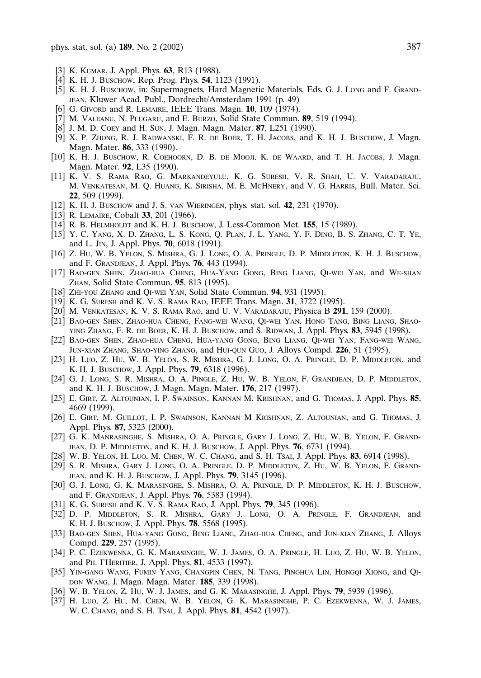- [3] K. KUMAR, J. Appl. Phys. 63, R13 (1988).
- [4] K. H. J. Buschow, Rep. Prog. Phys. **54**, 1123 (1991).
- [5] K. H. J. Buschow, in: Supermagnets, Hard Magnetic Materials, Eds. G. J. Long and F. Grandjean, Kluwer Acad. Publ., Dordrecht/Amsterdam 1991 (p. 49)
- [6] G. Givord and R. Lemaire, IEEE Trans. Magn. 10, 109 (1974).
- [7] M. Valeanu, N. Plugaru, and E. Burzo, Solid State Commun. 89, 519 (1994).
- [8] J. M. D. Coey and H. Sun, J. Magn. Magn. Mater. **87**, L251 (1990).
- [9] X. P. Zhong, R. J. Radwanski, F. R. de Boer, T. H. Jacobs, and K. H. J. Buschow, J. Magn. Magn. Mater. 86, 333 (1990).
- [10] K. H. J. Buschow, R. Coehoorn, D. B. de Mooji. K. de Waard, and T. H. Jacobs, J. Magn. Magn. Mater. 92, L35 (1990).
- [11] K. V. S. Rama Rao, G. Markandeyulu, K. G. Suresh, V. R. Shah, U. V. Varadaraju, M. Venkatesan, M. Q. Huang, K. Sirisha, M. E. McHnery, and V. G. Harris, Bull. Mater. Sci. 22, 509 (1999).
- [12] K. H. J. Buschow and J. S. van Wieringen, phys. stat. sol. **42**, 231 (1970).
- [13] R. LEMAIRE, Cobalt 33, 201 (1966).
- [14] R. B. HELMHOLDT and K. H. J. BUSCHOW, J. Less-Common Met. **155**, 15 (1989).
- [15] Y. C. Yang, X. D. Zhang, L. S. Kong, Q. Plan, J. L. Yang, Y. F. Ding, B. S. Zhang, C. T. Ye, and L. Jin, J. Appl. Phys. 70, 6018 (1991).
- [16] Z. Hu, W. B. Yelon, S. Mishra, G. J. Long, O. A. Pringle, D. P. Middleton, K. H. J. Buschow, and F. Grandjean, J. Appl. Phys. 76, 443 (1994).
- [17] Bao-gen Shen, Zhao-hua Cheng, Hua-Yang Gong, Bing Liang, Qi-wei Yan, and We-shan Zhan, Solid State Commun. 95, 813 (1995).
- [18] ZHI-YOU ZHANG and QI-WEI YAN, Solid State Commun. 94, 931 (1995).
- [19] K. G. SURESH and K. V. S. RAMA RAO, IEEE Trans. Magn. 31, 3722 (1995).
- [20] M. Venkatesan, K. V. S. Rama Rao, and U. V. Varadaraju, Physica B 291, 159 (2000).
- [21] Bao-gen Shen, Zhao-hua Cheng, Fang-wei Wang, Qi-wei Yan, Hong Tang, Bing Liang, Shaoying Zhang, F. R. de Boer, K. H. J. Buschow, and S. Ridwan, J. Appl. Phys. 83, 5945 (1998).
- [22] Bao-gen Shen, Zhao-hua Cheng, Hua-yang Gong, Bing Liang, Qi-wei Yan, Fang-wei Wang, Jun-xian Zhang, Shao-ying Zhang, and Hui-qun Guo, J. Alloys Compd. 226, 51 (1995).
- [23] H. Luo, Z. Hu, W. B. Yelon, S. R. Mishra, G. J. Long, O. A. Pringle, D. P. Middleton, and K. H. J. Buschow, J. Appl. Phys. 79, 6318 (1996).
- [24] G. J. Long, S. R. Mishra, O. A. Pingle, Z. Hu, W. B. Yelon, F. Grandjean, D. P. Middleton, and K. H. J. Buschow, J. Magn. Magn. Mater. 176, 217 (1997).
- [25] E. Girt, Z. Altounian, I. P. Swainson, Kannan M. Krishnan, and G. Thomas, J. Appl. Phys. 85, 4669 (1999).
- [26] E. Girt, M. Guillot, I. P. Swainson, Kannan M Krishnan, Z. Altounian, and G. Thomas, J. Appl. Phys. 87, 5323 (2000).
- [27] G. K. Manrasinghe, S. Mishra, O. A. Pringle, Gary J. Long, Z. Hu, W. B. Yelon, F. Grandjean, D. P. Middleton, and K. H. J. Buschow, J. Appl. Phys. 76, 6731 (1994).
- [28] W. B. YELON, H. LUO, M. CHEN, W. C. CHANG, and S. H. TSAI, J. Appl. Phys. 83, 6914 (1998).
- [29] S. R. Mishra, Gary J. Long, O. A. Pringle, D. P. Middleton, Z. Hu, W. B. Yelon, F. Grandjean, and K. H. J. Buschow, J. Appl. Phys. 79, 3145 (1996).
- [30] G. J. Long, G. K. Marasinghe, S. Mishra, O. A. Pringle, D. P. Middleton, K. H. J. Buschow, and F. Grandjean, J. Appl. Phys. 76, 5383 (1994).
- [31] K. G. SURESH and K. V. S. RAMA RAO, J. Appl. Phys. 79, 345 (1996).
- [32] D. P. Middleton, S. R. Mishra, Gary J. Long, O. A. Pringle, F. Grandjean, and K. H. J. Buschow, J. Appl. Phys. 78, 5568 (1995).
- [33] Bao-gen Shen, Hua-yang Gong, Bing Liang, Zhao-hua Cheng, and Jun-xian Zhang, J. Alloys Compd. 229, 257 (1995).
- [34] P. C. Ezekwenna, G. K. Marasinghe, W. J. James, O. A. Pringle, H. Luo, Z. Hu, W. B. Yelon, and Ph. I'Heritier, J. Appl. Phys. 81, 4533 (1997).
- [35] Yin-gang Wang, Fumin Yang, Changpin Chen, N. Tang, Pinghua Lin, Hongqi Xiong, and Qi-DON WANG, J. Magn. Magn. Mater. 185, 339 (1998).
- [36] W. B. Yelon, Z. Hu, W. J. James, and G. K. Marasinghe, J. Appl. Phys. 79, 5939 (1996).
- [37] H. Luo, Z. Hu, M. Chen, W. B. Yelon, G. K. Marasinghe, P. C. Ezekwenna, W. J. James, W. C. CHANG, and S. H. TsAI, J. Appl. Phys. 81, 4542 (1997).